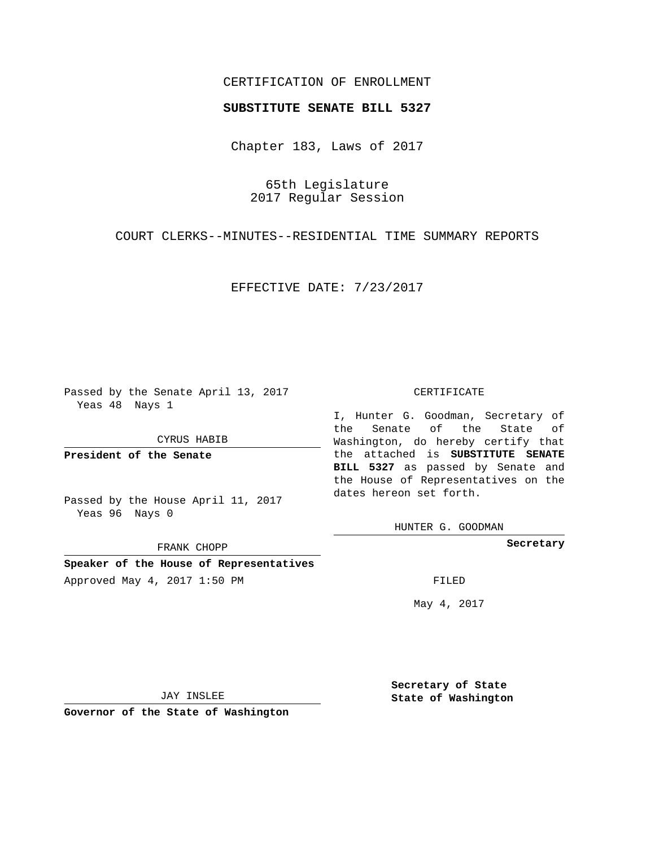## CERTIFICATION OF ENROLLMENT

## **SUBSTITUTE SENATE BILL 5327**

Chapter 183, Laws of 2017

65th Legislature 2017 Regular Session

COURT CLERKS--MINUTES--RESIDENTIAL TIME SUMMARY REPORTS

EFFECTIVE DATE: 7/23/2017

Passed by the Senate April 13, 2017 Yeas 48 Nays 1

CYRUS HABIB

**President of the Senate**

Passed by the House April 11, 2017 Yeas 96 Nays 0

FRANK CHOPP

**Speaker of the House of Representatives** Approved May 4, 2017 1:50 PM FILED

#### CERTIFICATE

I, Hunter G. Goodman, Secretary of the Senate of the State of Washington, do hereby certify that the attached is **SUBSTITUTE SENATE BILL 5327** as passed by Senate and the House of Representatives on the dates hereon set forth.

HUNTER G. GOODMAN

**Secretary**

May 4, 2017

JAY INSLEE

**Governor of the State of Washington**

**Secretary of State State of Washington**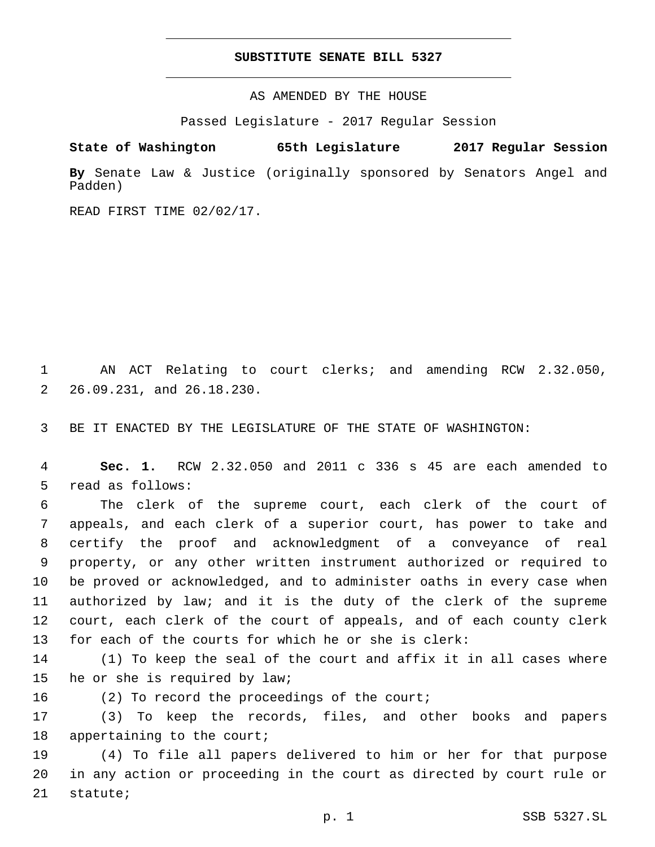## **SUBSTITUTE SENATE BILL 5327**

AS AMENDED BY THE HOUSE

Passed Legislature - 2017 Regular Session

# **State of Washington 65th Legislature 2017 Regular Session**

**By** Senate Law & Justice (originally sponsored by Senators Angel and Padden)

READ FIRST TIME 02/02/17.

1 AN ACT Relating to court clerks; and amending RCW 2.32.050, 26.09.231, and 26.18.230.2

3 BE IT ENACTED BY THE LEGISLATURE OF THE STATE OF WASHINGTON:

4 **Sec. 1.** RCW 2.32.050 and 2011 c 336 s 45 are each amended to 5 read as follows:

 The clerk of the supreme court, each clerk of the court of appeals, and each clerk of a superior court, has power to take and certify the proof and acknowledgment of a conveyance of real property, or any other written instrument authorized or required to be proved or acknowledged, and to administer oaths in every case when authorized by law; and it is the duty of the clerk of the supreme court, each clerk of the court of appeals, and of each county clerk for each of the courts for which he or she is clerk:

14 (1) To keep the seal of the court and affix it in all cases where 15 he or she is required by law;

16 (2) To record the proceedings of the court;

17 (3) To keep the records, files, and other books and papers 18 appertaining to the court;

19 (4) To file all papers delivered to him or her for that purpose 20 in any action or proceeding in the court as directed by court rule or 21 statute;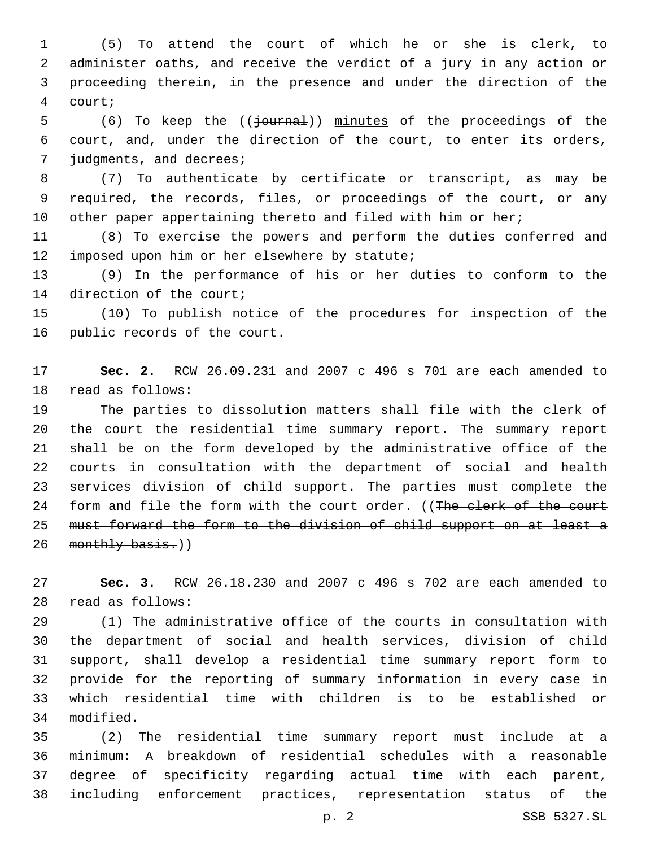(5) To attend the court of which he or she is clerk, to administer oaths, and receive the verdict of a jury in any action or proceeding therein, in the presence and under the direction of the court;4

5 (6) To keep the (( $\frac{1}{2}$ ournal)) minutes of the proceedings of the court, and, under the direction of the court, to enter its orders, 7 judgments, and decrees;

 (7) To authenticate by certificate or transcript, as may be required, the records, files, or proceedings of the court, or any 10 other paper appertaining thereto and filed with him or her;

 (8) To exercise the powers and perform the duties conferred and 12 imposed upon him or her elsewhere by statute;

 (9) In the performance of his or her duties to conform to the 14 direction of the court;

 (10) To publish notice of the procedures for inspection of the 16 public records of the court.

 **Sec. 2.** RCW 26.09.231 and 2007 c 496 s 701 are each amended to 18 read as follows:

 The parties to dissolution matters shall file with the clerk of the court the residential time summary report. The summary report shall be on the form developed by the administrative office of the courts in consultation with the department of social and health services division of child support. The parties must complete the 24 form and file the form with the court order. ((The clerk of the court must forward the form to the division of child support on at least a 26 monthly basis.))

 **Sec. 3.** RCW 26.18.230 and 2007 c 496 s 702 are each amended to read as follows:28

 (1) The administrative office of the courts in consultation with the department of social and health services, division of child support, shall develop a residential time summary report form to provide for the reporting of summary information in every case in which residential time with children is to be established or 34 modified.

 (2) The residential time summary report must include at a minimum: A breakdown of residential schedules with a reasonable degree of specificity regarding actual time with each parent, including enforcement practices, representation status of the